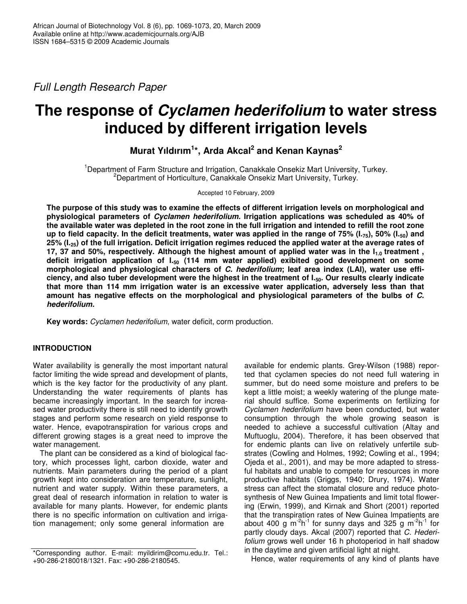*Full Length Research Paper*

# **The response of** *Cyclamen hederifolium* **to water stress induced by different irrigation levels**

# **Murat Yıldırım 1 \*, Arda Akcal 2 and Kenan Kaynas 2**

<sup>1</sup>Department of Farm Structure and Irrigation, Canakkale Onsekiz Mart University, Turkey. <sup>2</sup>Department of Horticulture, Canakkale Onsekiz Mart University, Turkey.

Accepted 10 February, 2009

**The purpose of this study was to examine the effects of different irrigation levels on morphological and physiological parameters of** *Cyclamen hederifolium.* **Irrigation applications was scheduled as 40% of** the available water was depleted in the root zone in the full irrigation and intended to refill the root zone up to field capacity. In the deficit treatments, water was applied in the range of 75% ( $I_{.75}$ ), 50% ( $I_{.50}$ ) and 25% (I.<sub>25</sub>) of the full irrigation. Deficit irrigation regimes reduced the applied water at the average rates of 17, 37 and 50%, respectively. Although the highest amount of applied water was in the I<sub>1.0</sub> treatment, **deficit irrigation application of I.<sup>50</sup> (114 mm water applied) exibited good development on some morphological and physiological characters of** *C. hederifolium***; leaf area index (LAI), water use effi**ciency, and also tuber development were the highest in the treatment of I.<sub>50</sub>. Our results clearly indicate **that more than 114 mm irrigation water is an excessive water application, adversely less than that amount has negative effects on the morphological and physiological parameters of the bulbs of** *C. hederifolium.*

**Key words:** *Cyclamen hederifolium*, water deficit, corm production.

# **INTRODUCTION**

Water availability is generally the most important natural factor limiting the wide spread and development of plants, which is the key factor for the productivity of any plant. Understanding the water requirements of plants has became increasingly important. In the search for increased water productivity there is still need to identify growth stages and perform some research on yield response to water. Hence, evapotranspiration for various crops and different growing stages is a great need to improve the water management.

The plant can be considered as a kind of biological factory, which processes light, carbon dioxide, water and nutrients. Main parameters during the period of a plant growth kept into consideration are temperature, sunlight, nutrient and water supply. Within these parameters, a great deal of research information in relation to water is available for many plants. However, for endemic plants there is no specific information on cultivation and irrigation management; only some general information are

available for endemic plants. Grey-Wilson (1988) reported that cyclamen species do not need full watering in summer, but do need some moisture and prefers to be kept a little moist; a weekly watering of the plunge material should suffice. Some experiments on fertilizing for *Cyclamen hederifolium* have been conducted, but water consumption through the whole growing season is needed to achieve a successful cultivation (Altay and Muftuoglu, 2004). Therefore, it has been observed that for endemic plants can live on relatively unfertile substrates (Cowling and Holmes, 1992; Cowling et al., 1994; Ojeda et al., 2001), and may be more adapted to stressful habitats and unable to compete for resources in more productive habitats (Griggs, 1940; Drury, 1974). Water stress can affect the stomatal closure and reduce photosynthesis of New Guinea Impatients and limit total flowering (Erwin, 1999), and Kirnak and Short (2001) reported that the transpiration rates of New Guinea Impatients are about 400 g m<sup>-2</sup>h<sup>-1</sup> for sunny days and 325 g m<sup>-2</sup>h<sup>-1</sup> for partly cloudy days. Akcal (2007) reported that *C. Hederifolium* grows well under 16 h photoperiod in half shadow in the daytime and given artificial light at night.

Hence, water requirements of any kind of plants have

<sup>\*</sup>Corresponding author. E-mail: myildirim@comu.edu.tr. Tel.: +90-286-2180018/1321. Fax: +90-286-2180545.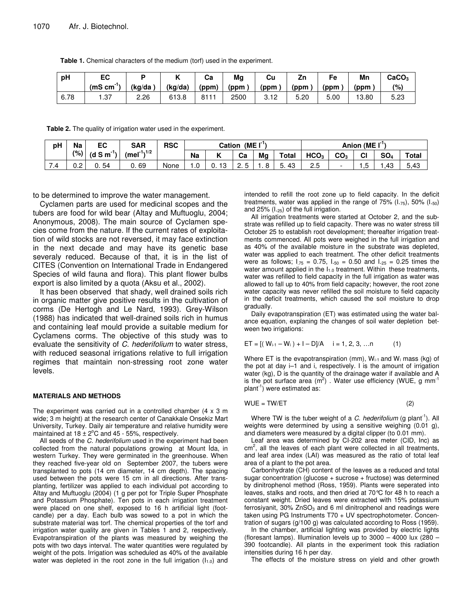**Table 1.** Chemical characters of the medium (torf) used in the experiment.

| рH   | ЕC            |         |         | Сa    | Mg   | Cu   |      | Fe   | Mn    | CaCO <sub>3</sub> |
|------|---------------|---------|---------|-------|------|------|------|------|-------|-------------------|
|      | -1,<br>(mScm) | (ka/da) | (kg/da) | (ppm) | (ppm | (ppm | (ppm | (ppm | (ppm  | (9)               |
| 6.78 | .37           | 2.26    | 613.8   | 8111  | 2500 | 3.12 | 5.20 | 5.00 | 13.80 | 5.23              |

**Table 2.** The quality of irrigation water used in the experiment.

| рH       | Na         | EC                | <b>SAR</b>           | <b>RSC</b> | (ME I <sup>-1</sup> )<br>Cation |           |          | Anion (ME $\Gamma$ <sup>1</sup> |              |                  |                 |    |                    |              |
|----------|------------|-------------------|----------------------|------------|---------------------------------|-----------|----------|---------------------------------|--------------|------------------|-----------------|----|--------------------|--------------|
|          | $(9)$ ,    | $(d \text{ S m})$ | , $(mel^{-1})^{1/2}$ |            | <b>Na</b>                       |           | Ca       | Ma                              | <b>Total</b> | HCO <sub>3</sub> | CO <sub>3</sub> | CI | SO <sub>4</sub>    | <b>Total</b> |
| ⇁<br>7.4 | ı n<br>∪.∠ | 54<br>U.          | 69<br>U.             | None       | ں. ر                            | د ا<br>υ. | <u>.</u> |                                 | 43<br>∽<br>ູ | 2.5              |                 | ں. | $\sqrt{2}$<br>ں +. | 5.43         |

to be determined to improve the water management.

Cyclamen parts are used for medicinal scopes and the tubers are food for wild bear (Altay and Muftuoglu, 2004; Anonymous, 2008). The main source of Cyclamen species come from the nature. If the current rates of exploitation of wild stocks are not reversed, it may face extinction in the next decade and may have its genetic base severaly reduced. Because of that, it is in the list of CITES (Convention on International Trade in Endangered Species of wild fauna and flora). This plant flower bulbs export is also limited by a quota (Aksu et al., 2002).

It has been observed that shady, well drained soils rich in organic matter give positive results in the cultivation of corms (De Hertogh and Le Nard, 1993). Grey-Wilson (1988) has indicated that well-drained soils rich in humus and containing leaf mould provide a suitable medium for Cyclamens corms. The objective of this study was to evaluate the sensitivity of *C. hederifolium* to water stress, with reduced seasonal irrigations relative to full irrigation regimes that maintain non-stressing root zone water levels.

#### **MATERIALS AND METHODS**

The experiment was carried out in a controlled chamber (4 x 3 m wide; 3 m height) at the research center of Canakkale Onsekiz Mart University, Turkey. Daily air temperature and relative humidity were maintained at  $18 \pm 2^{\circ}$ C and 45 - 55%, respectively.

All seeds of the *C. hederifolium* used in the experiment had been collected from the natural populations growing at Mount Ida, in western Turkey. They were germinated in the greenhouse. When they reached five-year old on September 2007, the tubers were transplanted to pots (14 cm diameter, 14 cm depth). The spacing used between the pots were 15 cm in all directions. After transplanting, fertilizer was applied to each individual pot according to Altay and Muftuoglu (2004) (1 g per pot for Triple Super Phosphate and Potassium Phosphate). Ten pots in each irrigation treatment were placed on one shelf, exposed to 16 h artificial light (footcandle) per a day. Each bulb was sowed to a pot in which the substrate material was torf. The chemical properties of the torf and irrigation water quality are given in Tables 1 and 2, respectively. Evapotranspiration of the plants was measured by weighing the pots with two days interval. The water quantities were regulated by weight of the pots. Irrigation was scheduled as 40% of the available water was depleted in the root zone in the full irrigation  $(I_{1.0})$  and intended to refill the root zone up to field capacity. In the deficit treatments, water was applied in the range of  $75\%$  ( $1.75$ ),  $50\%$  ( $1.50$ ) and 25%  $(1.25)$  of the full irrigation.

All irrigation treatments were started at October 2, and the substrate was refilled up to field capacity. There was no water stress till October 25 to establish root development; thereafter irrigation treatments commenced. All pots were weighed in the full irrigation and as 40% of the available moisture in the substrate was depleted, water was applied to each treatment. The other deficit treatments were as follows;  $I_{.75} = 0.75$ ,  $I_{.50} = 0.50$  and  $I_{.25} = 0.25$  times the water amount applied in the  $I_{1,0}$  treatment. Within these treatments, water was refilled to field capacity in the full irrigation as water was allowed to fall up to 40% from field capacity; however, the root zone water capacity was never refilled the soil moisture to field capacity in the deficit treatments, which caused the soil moisture to drop gradually.

Daily evapotranspiration (ET) was estimated using the water balance equation, explaning the changes of soil water depletion between two irrigations:

$$
ET = [(W_{i-1} - W_i) + I - D]/A \quad i = 1, 2, 3, ...n \tag{1}
$$

Where ET is the evapotranspiration (mm),  $W_{i-1}$  and  $W_i$  mass (kg) of the pot at day i–1 and i, respectively. I is the amount of irrigation water (kg), D is the quantity of the drainage water if available and A is the pot surface area  $(m^2)$  . Water use efficiency (WUE, g mm<sup>-1</sup> plant<sup>-1</sup>) were estimated as:

$$
WUE = TW/ET
$$
 (2)

Where TW is the tuber weight of a *C. hederifolium* (g plant<sup>-1</sup>). All weights were determined by using a sensitive weighing (0.01 g), and diameters were measured by a digital clipper (to 0.01 mm).

Leaf area was determined by CI-202 area meter (CID, Inc) as  $\text{cm}^2$ , all the leaves of each plant were collected in all treatments, and leaf area index (LAI) was measured as the ratio of total leaf area of a plant to the pot area.

Carbonhydrate (CH) content of the leaves as a reduced and total sugar concentration (glucose  $+$  sucrose  $+$  fructose) was determined by dinitrophenol method (Ross, 1959). Plants were seperated into leaves, stalks and roots, and then dried at 70°C for 48 h to reach a constant weight. Dried leaves were extracted with 15% potassium ferrosiyanit,  $30\%$  ZnSO<sub>3</sub> and 6 ml dinitrophenol and readings were taken using PG Instruments T70 + UV spectrophotometer. Concentration of sugars (g/100 g) was calculated according to Ross (1959).

In the chamber, artificial lighting was provided by electric lights (floresant lamps). Illumination levels up to 3000 – 4000 lux (280 – 390 footcandle). All plants in the experiment took this radiation intensities during 16 h per day.

The effects of the moisture stress on yield and other growth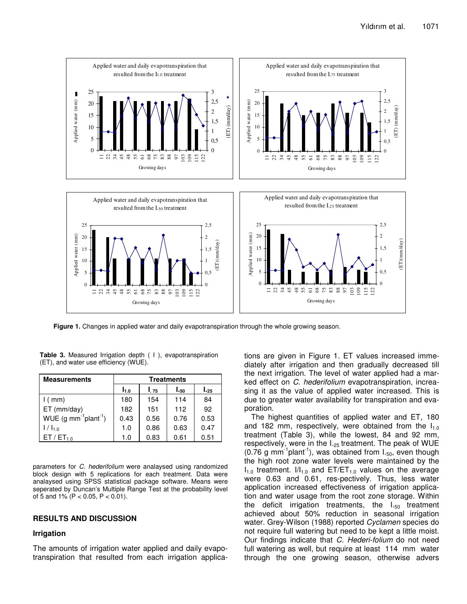

**Figure 1.** Changes in applied water and daily evapotranspiration through the whole growing season.

**Table 3.** Measured Irrigation depth ( I ), evapotranspiration (ET), and water use efficiency (WUE).

| <b>Measurements</b>                             | <b>Treatments</b> |      |      |           |  |  |  |
|-------------------------------------------------|-------------------|------|------|-----------|--|--|--|
|                                                 | $I_{1.0}$         | I.75 | I.50 | $I_{.25}$ |  |  |  |
| $1$ ( mm)                                       | 180               | 154  | 114  | 84        |  |  |  |
| $ET$ (mm/day)                                   | 182               | 151  | 112  | 92        |  |  |  |
| $WUE$ (g mm <sup>-1</sup> plant <sup>-1</sup> ) | 0.43              | 0.56 | 0.76 | 0.53      |  |  |  |
| $1/1_{1.0}$                                     | 1.0               | 0.86 | 0.63 | 0.47      |  |  |  |
| ET / ET <sub>1.0</sub>                          | 1.0               | 0.83 | 0.61 | 0.51      |  |  |  |

parameters for *C. hederifolium* were analaysed using randomized block design with 5 replications for each treatment. Data were analaysed using SPSS statistical package software. Means were seperated by Duncan's Multiple Range Test at the probability level of 5 and 1% ( $P < 0.05$ ,  $P < 0.01$ ).

### **RESULTS AND DISCUSSION**

#### **Irrigation**

The amounts of irrigation water applied and daily evapotranspiration that resulted from each irrigation applica-

tions are given in Figure 1. ET values increased immediately after irrigation and then gradually decreased till the next irrigation. The level of water applied had a marked effect on *C. hederifolium* evapotranspiration, increasing it as the value of applied water increased. This is due to greater water availability for transpiration and evaporation.

The highest quantities of applied water and ET, 180 and 182 mm, respectively, were obtained from the  $I_{1,0}$ treatment (Table 3), while the lowest, 84 and 92 mm, respectively, were in the  $I_{.25}$  treatment. The peak of WUE  $(0.76 \text{ g mm}^{-1}$ plant<sup>-1</sup>), was obtained from  $I_{.50}$ , even though the high root zone water levels were maintained by the  $I_{1.0}$  treatment.  $I/I_{1.0}$  and  $ET/ET_{1.0}$  values on the average were 0.63 and 0.61, res-pectively. Thus, less water application increased effectiveness of irrigation application and water usage from the root zone storage. Within the deficit irrigation treatments, the  $l_{50}$  treatment achieved about 50% reduction in seasonal irrigation water. Grey-Wilson (1988) reported *Cyclamen* species do not require full watering but need to be kept a little moist. Our findings indicate that *C. Hederi-folium* do not need full watering as well, but require at least 114 mm water through the one growing season, otherwise advers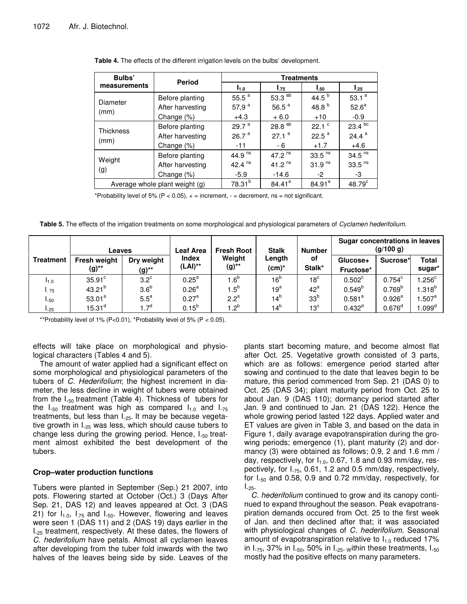| Bulbs'                         | <b>Period</b>    | <b>Treatments</b>  |                     |                      |                    |  |  |  |
|--------------------------------|------------------|--------------------|---------------------|----------------------|--------------------|--|--|--|
| measurements                   |                  | $I_{1.0}$          | $I_{.75}$           | I.50                 | l. <sub>25</sub>   |  |  |  |
| Diameter                       | Before planting  | 55.5 $a$           | 53.3 $^{ab}$        | 44.5 $^{b}$          | 53.1 $a$           |  |  |  |
| (mm)                           | After harvesting | 57,9 $a$           | 56.5 $^{a}$         | 48.8 <sup>b</sup>    | 52.6 <sup>a</sup>  |  |  |  |
|                                | Change (%)       | $+4.3$             | $+6.0$              | $+10$                | $-0.9$             |  |  |  |
| <b>Thickness</b>               | Before planting  | 29.7 <sup>a</sup>  | 28.8 $^{ab}$        | $22.1$ $\degree$     | $23.4^{bc}$        |  |  |  |
| (mm)                           | After harvesting | 26.7 <sup>a</sup>  | 27.1 <sup>a</sup>   | 22.5 <sup>a</sup>    | 24.4 $a$           |  |  |  |
|                                | Change (%)       | $-11$              | - 6                 | $+1.7$               | $+4.6$             |  |  |  |
|                                | Before planting  | 44.9 $ns$          | 47.2 $ns$           | $33.5$ <sup>ns</sup> | 34.5 <sup>ns</sup> |  |  |  |
| Weight                         | After harvesting | 42.4 $ns$          | 41.2 $^{\text{ns}}$ | 31.9 <sup>ns</sup>   | 33.5 <sup>ns</sup> |  |  |  |
| (g)                            | Change (%)       | $-5.9$             | $-14.6$             | $-2$                 | -3                 |  |  |  |
| Average whole plant weight (g) | $78.31^{b}$      | 84.41 <sup>a</sup> | $84.91^a$           | 48.79 <sup>c</sup>   |                    |  |  |  |

\*Probability level of 5% (P < 0.05),  $+$  = increment,  $-$  = decrement, ns = not significant.

**Table 5.** The effects of the irrigation treatments on some morphological and physiological parameters of *Cyclamen hederifolium.*

|                  | Leaves                   |                        | <b>Fresh Root</b><br>Leaf Area |                    | <b>Stalk</b>       | <b>Number</b>   | Sugar concentrations in leaves<br>(g/100 g) |                    |                        |
|------------------|--------------------------|------------------------|--------------------------------|--------------------|--------------------|-----------------|---------------------------------------------|--------------------|------------------------|
| <b>Treatment</b> | Fresh weight<br>$(g)$ ** | Dry weight<br>$(g)$ ** | <b>Index</b><br>$(LAI)$ **     | Weight<br>$(g)$ ** | Length<br>$(cm)^*$ | οf<br>Stalk*    | Glucose+<br>Fructose*                       | Sucrose*           | <b>Total</b><br>sugar* |
| I1.0             | $35.91$ <sup>c</sup>     | $3.2^{\circ}$          | $0.25^{\text{a}}$              | 1.6 <sup>b</sup>   | 16 <sup>b</sup>    | 18 $^{\circ}$   | $0.502^{\circ}$                             | $0.754^c$          | .256 <sup>c</sup>      |
| .75              | $43.21^{b}$              | 3.6 <sup>b</sup>       | 0.26 <sup>a</sup>              | $1.5^{\circ}$      | $19^{\rm a}$       | $42^a$          | $0.549^{b}$                                 | 0.769 <sup>b</sup> | $.318^{b}$             |
| I.50             | $53.01^a$                | $5.5^a$                | 0.27 <sup>a</sup>              | $2.2^a$            | 14 <sup>b</sup>    | 33 <sup>b</sup> | $0.581^{a}$                                 | $0.926^{\text{a}}$ | .507 <sup>a</sup>      |
| 1.25             | 15.31 <sup>d</sup>       | 1.7 <sup>d</sup>       | $0.15^{b}$                     | $1.2^{b}$          | $14^{\circ}$       | 13 <sup>c</sup> | $0.432^{d}$                                 | $0.676^d$          | .099 <sup>d</sup>      |

\*\*Probability level of 1% (P<0.01), \*Probability level of 5% (P < 0.05).

effects will take place on morphological and physiological characters (Tables 4 and 5).

The amount of water applied had a significant effect on some morphological and physiological parameters of the tubers of *C. Hederifolium*; the highest increment in diameter, the less decline in weight of tubers were obtained from the  $I_{.50}$  treatment (Table 4). Thickness of tubers for the  $I_{.50}$  treatment was high as compared  $I_{1.0}$  and  $I_{.75}$ treatments, but less than  $L_{25}$ . It may be because vegetative growth in  $L_{25}$  was less, which should cause tubers to change less during the growing period. Hence,  $I_{.50}$  treatment almost exhibited the best development of the tubers.

## **Crop–water production functions**

Tubers were planted in September (Sep.) 21 2007, into pots. Flowering started at October (Oct.) 3 (Days After Sep. 21, DAS 12) and leaves appeared at Oct. 3 (DAS 21) for  $I_{1,0}$ ,  $I_{.75}$  and  $I_{.50}$ . However, flowering and leaves were seen 1 (DAS 11) and 2 (DAS 19) days earlier in the I.<sub>25</sub> treatment, respectively. At these dates, the flowers of *C. hederifolium* have petals. Almost all cyclamen leaves after developing from the tuber fold inwards with the two halves of the leaves being side by side. Leaves of the

plants start becoming mature, and become almost flat after Oct. 25. Vegetative growth consisted of 3 parts, which are as follows: emergence period started after sowing and continued to the date that leaves begin to be mature, this period commenced from Sep. 21 (DAS 0) to Oct. 25 (DAS 34); plant maturity period from Oct. 25 to about Jan. 9 (DAS 110); dormancy period started after Jan. 9 and continued to Jan. 21 (DAS 122). Hence the whole growing period lasted 122 days. Applied water and ET values are given in Table 3, and based on the data in Figure 1, daily avarage evapotranspiration during the growing periods; emergence (1), plant maturity (2) and dormancy (3) were obtained as follows; 0.9, 2 and 1.6 mm / day, respectively, for  $I_{1,0}$ , 0.67, 1.8 and 0.93 mm/day, respectively, for I.75, 0.61, 1.2 and 0.5 mm/day, respectively, for  $I_{.50}$  and 0.58, 0.9 and 0.72 mm/day, respectively, for  $I_{.25}$ .

*C. hederifolium* continued to grow and its canopy continued to expand throughout the season. Peak evapotranspiration demands occured from Oct. 25 to the first week of Jan. and then declined after that; it was associated with physiological changes of *C. hederifolium.* Seasonal amount of evapotranspiration relative to  $I_{1,0}$  reduced 17% in  $I_{.75}$ , 37% in  $I_{.50}$ , 50% in  $I_{.25}$ . within these treatments,  $I_{.50}$ mostly had the positive effects on many parameters.